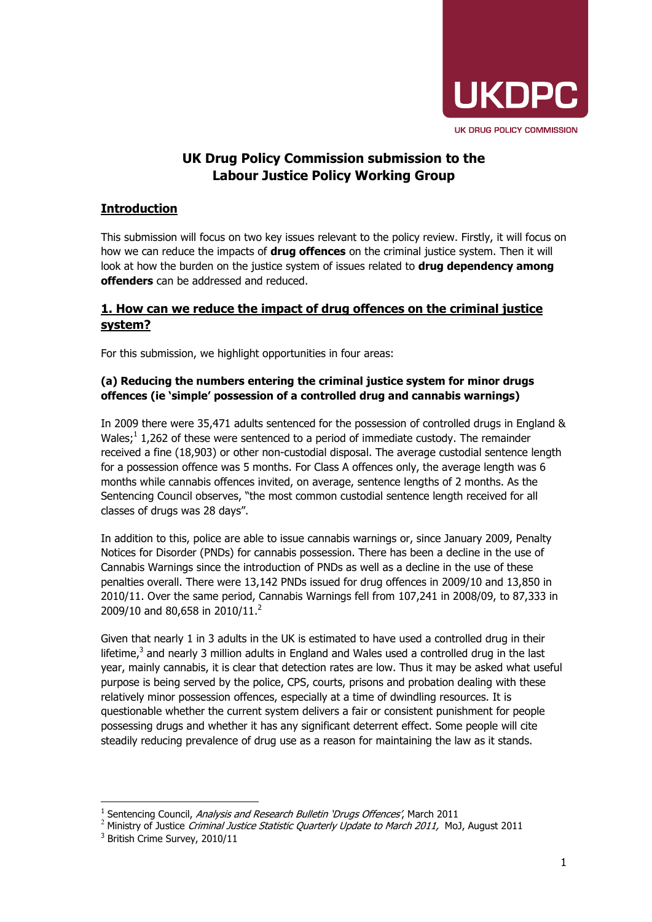

# **UK Drug Policy Commission submission to the Labour Justice Policy Working Group**

## **Introduction**

This submission will focus on two key issues relevant to the policy review. Firstly, it will focus on how we can reduce the impacts of **drug offences** on the criminal justice system. Then it will look at how the burden on the justice system of issues related to **drug dependency among offenders** can be addressed and reduced.

### **1. How can we reduce the impact of drug offences on the criminal justice system?**

For this submission, we highlight opportunities in four areas:

### **(a) Reducing the numbers entering the criminal justice system for minor drugs offences (ie 'simple' possession of a controlled drug and cannabis warnings)**

In 2009 there were 35,471 adults sentenced for the possession of controlled drugs in England & Wales;<sup>1</sup> 1,262 of these were sentenced to a period of immediate custody. The remainder received a fine (18,903) or other non-custodial disposal. The average custodial sentence length for a possession offence was 5 months. For Class A offences only, the average length was 6 months while cannabis offences invited, on average, sentence lengths of 2 months. As the Sentencing Council observes, "the most common custodial sentence length received for all classes of drugs was 28 days".

In addition to this, police are able to issue cannabis warnings or, since January 2009, Penalty Notices for Disorder (PNDs) for cannabis possession. There has been a decline in the use of Cannabis Warnings since the introduction of PNDs as well as a decline in the use of these penalties overall. There were 13,142 PNDs issued for drug offences in 2009/10 and 13,850 in 2010/11. Over the same period, Cannabis Warnings fell from 107,241 in 2008/09, to 87,333 in 2009/10 and 80,658 in 2010/11.<sup>2</sup>

Given that nearly 1 in 3 adults in the UK is estimated to have used a controlled drug in their lifetime, $3$  and nearly 3 million adults in England and Wales used a controlled drug in the last year, mainly cannabis, it is clear that detection rates are low. Thus it may be asked what useful purpose is being served by the police, CPS, courts, prisons and probation dealing with these relatively minor possession offences, especially at a time of dwindling resources. It is questionable whether the current system delivers a fair or consistent punishment for people possessing drugs and whether it has any significant deterrent effect. Some people will cite steadily reducing prevalence of drug use as a reason for maintaining the law as it stands.

l <sup>1</sup> Sentencing Council, Analysis and Research Bulletin 'Drugs Offences', March 2011

 $2$  Ministry of Justice Criminal Justice Statistic Quarterly Update to March 2011, MoJ, August 2011

<sup>&</sup>lt;sup>3</sup> British Crime Survey, 2010/11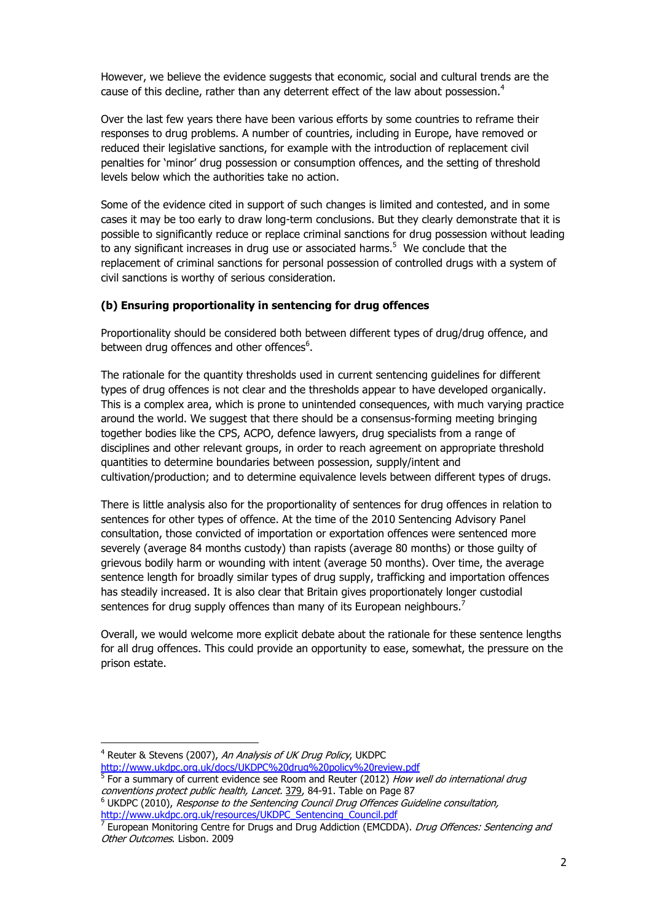However, we believe the evidence suggests that economic, social and cultural trends are the cause of this decline, rather than any deterrent effect of the law about possession.<sup>4</sup>

Over the last few years there have been various efforts by some countries to reframe their responses to drug problems. A number of countries, including in Europe, have removed or reduced their legislative sanctions, for example with the introduction of replacement civil penalties for 'minor' drug possession or consumption offences, and the setting of threshold levels below which the authorities take no action.

Some of the evidence cited in support of such changes is limited and contested, and in some cases it may be too early to draw long-term conclusions. But they clearly demonstrate that it is possible to significantly reduce or replace criminal sanctions for drug possession without leading to any significant increases in drug use or associated harms.<sup>5</sup> We conclude that the replacement of criminal sanctions for personal possession of controlled drugs with a system of civil sanctions is worthy of serious consideration.

#### **(b) Ensuring proportionality in sentencing for drug offences**

Proportionality should be considered both between different types of drug/drug offence, and between drug offences and other offences<sup>6</sup>.

The rationale for the quantity thresholds used in current sentencing guidelines for different types of drug offences is not clear and the thresholds appear to have developed organically. This is a complex area, which is prone to unintended consequences, with much varying practice around the world. We suggest that there should be a consensus-forming meeting bringing together bodies like the CPS, ACPO, defence lawyers, drug specialists from a range of disciplines and other relevant groups, in order to reach agreement on appropriate threshold quantities to determine boundaries between possession, supply/intent and cultivation/production; and to determine equivalence levels between different types of drugs.

There is little analysis also for the proportionality of sentences for drug offences in relation to sentences for other types of offence. At the time of the 2010 Sentencing Advisory Panel consultation, those convicted of importation or exportation offences were sentenced more severely (average 84 months custody) than rapists (average 80 months) or those guilty of grievous bodily harm or wounding with intent (average 50 months). Over time, the average sentence length for broadly similar types of drug supply, trafficking and importation offences has steadily increased. It is also clear that Britain gives proportionately longer custodial sentences for drug supply offences than many of its European neighbours.<sup>7</sup>

Overall, we would welcome more explicit debate about the rationale for these sentence lengths for all drug offences. This could provide an opportunity to ease, somewhat, the pressure on the prison estate.

-

http://www.ukdpc.org.uk/docs/UKDPC%20drug%20policy%20review.pdf<br><sup>5</sup> For a summary of surrent evidence see Boom and Peuter (2012). *How w* 

<sup>&</sup>lt;sup>4</sup> Reuter & Stevens (2007), An Analysis of UK Drug Policy, UKDPC

For a summary of current evidence see Room and Reuter (2012) How well do international drug *conventions protect public health, Lancet.* 379, 84-91. Table on Page 87<br><sup>6</sup> UKDPC (2010), *Response to the Sentencing Council Drug Offences Guideline consultation,* 

http://www.ukdpc.org.uk/resources/UKDPC\_Sentencing\_Council.pdf<br><sup>7</sup> European Monitoring Centre for Drugs and Drug Addiction (EMCDE

European Monitoring Centre for Drugs and Drug Addiction (EMCDDA). *Drug Offences: Sentencing and* Other Outcomes. Lisbon. 2009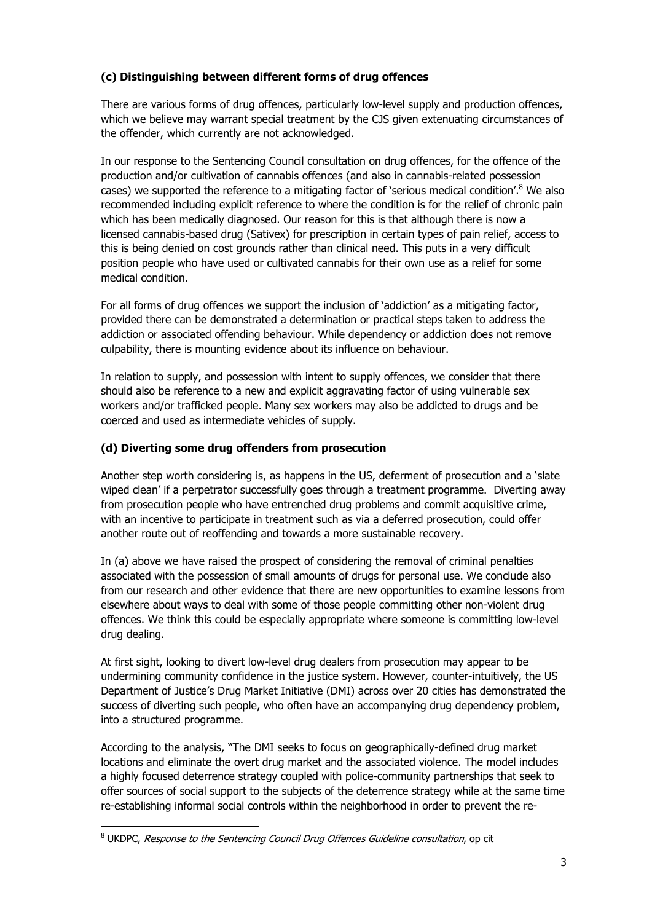### **(c) Distinguishing between different forms of drug offences**

There are various forms of drug offences, particularly low-level supply and production offences, which we believe may warrant special treatment by the CJS given extenuating circumstances of the offender, which currently are not acknowledged.

In our response to the Sentencing Council consultation on drug offences, for the offence of the production and/or cultivation of cannabis offences (and also in cannabis-related possession cases) we supported the reference to a mitigating factor of 'serious medical condition'.<sup>8</sup> We also recommended including explicit reference to where the condition is for the relief of chronic pain which has been medically diagnosed. Our reason for this is that although there is now a licensed cannabis-based drug (Sativex) for prescription in certain types of pain relief, access to this is being denied on cost grounds rather than clinical need. This puts in a very difficult position people who have used or cultivated cannabis for their own use as a relief for some medical condition.

For all forms of drug offences we support the inclusion of 'addiction' as a mitigating factor, provided there can be demonstrated a determination or practical steps taken to address the addiction or associated offending behaviour. While dependency or addiction does not remove culpability, there is mounting evidence about its influence on behaviour.

In relation to supply, and possession with intent to supply offences, we consider that there should also be reference to a new and explicit aggravating factor of using vulnerable sex workers and/or trafficked people. Many sex workers may also be addicted to drugs and be coerced and used as intermediate vehicles of supply.

### **(d) Diverting some drug offenders from prosecution**

Another step worth considering is, as happens in the US, deferment of prosecution and a 'slate wiped clean' if a perpetrator successfully goes through a treatment programme. Diverting away from prosecution people who have entrenched drug problems and commit acquisitive crime, with an incentive to participate in treatment such as via a deferred prosecution, could offer another route out of reoffending and towards a more sustainable recovery.

In (a) above we have raised the prospect of considering the removal of criminal penalties associated with the possession of small amounts of drugs for personal use. We conclude also from our research and other evidence that there are new opportunities to examine lessons from elsewhere about ways to deal with some of those people committing other non-violent drug offences. We think this could be especially appropriate where someone is committing low-level drug dealing.

At first sight, looking to divert low-level drug dealers from prosecution may appear to be undermining community confidence in the justice system. However, counter-intuitively, the US Department of Justice's Drug Market Initiative (DMI) across over 20 cities has demonstrated the success of diverting such people, who often have an accompanying drug dependency problem, into a structured programme.

According to the analysis, "The DMI seeks to focus on geographically-defined drug market locations and eliminate the overt drug market and the associated violence. The model includes a highly focused deterrence strategy coupled with police-community partnerships that seek to offer sources of social support to the subjects of the deterrence strategy while at the same time re-establishing informal social controls within the neighborhood in order to prevent the re-

<sup>-</sup><sup>8</sup> UKDPC, *Response to the Sentencing Council Drug Offences Guideline consultation*, op cit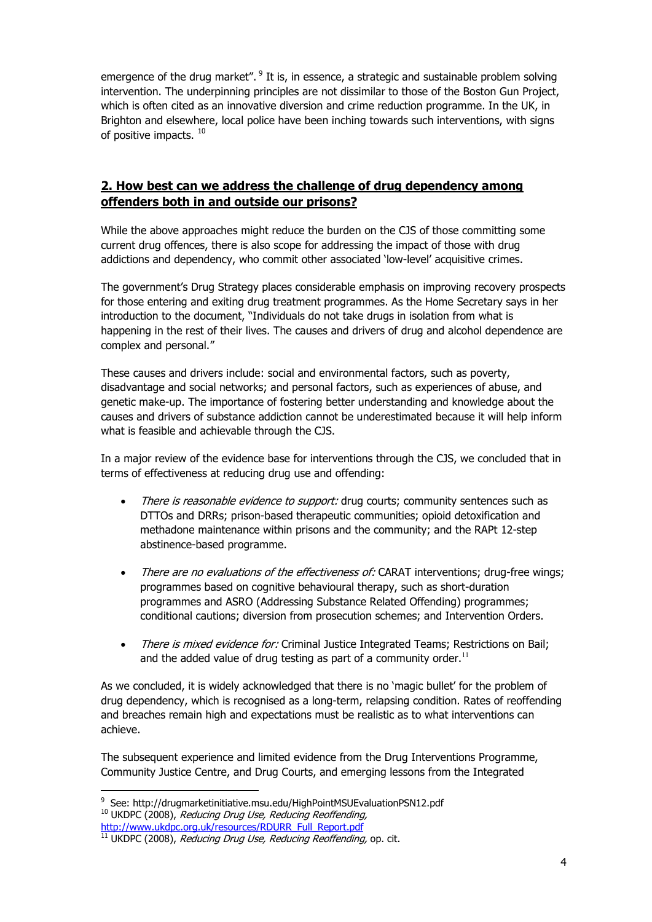emergence of the drug market".  $9$  It is, in essence, a strategic and sustainable problem solving intervention. The underpinning principles are not dissimilar to those of the Boston Gun Project, which is often cited as an innovative diversion and crime reduction programme. In the UK, in Brighton and elsewhere, local police have been inching towards such interventions, with signs of positive impacts.<sup>10</sup>

## **2. How best can we address the challenge of drug dependency among offenders both in and outside our prisons?**

While the above approaches might reduce the burden on the CJS of those committing some current drug offences, there is also scope for addressing the impact of those with drug addictions and dependency, who commit other associated 'low-level' acquisitive crimes.

The government's Drug Strategy places considerable emphasis on improving recovery prospects for those entering and exiting drug treatment programmes. As the Home Secretary says in her introduction to the document, "Individuals do not take drugs in isolation from what is happening in the rest of their lives. The causes and drivers of drug and alcohol dependence are complex and personal."

These causes and drivers include: social and environmental factors, such as poverty, disadvantage and social networks; and personal factors, such as experiences of abuse, and genetic make-up. The importance of fostering better understanding and knowledge about the causes and drivers of substance addiction cannot be underestimated because it will help inform what is feasible and achievable through the CJS.

In a major review of the evidence base for interventions through the CJS, we concluded that in terms of effectiveness at reducing drug use and offending:

- There is reasonable evidence to support: drug courts: community sentences such as DTTOs and DRRs; prison-based therapeutic communities; opioid detoxification and methadone maintenance within prisons and the community; and the RAPt 12-step abstinence-based programme.
- There are no evaluations of the effectiveness of: CARAT interventions; drug-free wings; programmes based on cognitive behavioural therapy, such as short-duration programmes and ASRO (Addressing Substance Related Offending) programmes; conditional cautions; diversion from prosecution schemes; and Intervention Orders.
- There is mixed evidence for: Criminal Justice Integrated Teams; Restrictions on Bail; and the added value of drug testing as part of a community order.<sup>11</sup>

As we concluded, it is widely acknowledged that there is no 'magic bullet' for the problem of drug dependency, which is recognised as a long-term, relapsing condition. Rates of reoffending and breaches remain high and expectations must be realistic as to what interventions can achieve.

The subsequent experience and limited evidence from the Drug Interventions Programme, Community Justice Centre, and Drug Courts, and emerging lessons from the Integrated

<sup>-</sup><sup>9</sup> See: http://drugmarketinitiative.msu.edu/HighPointMSUEvaluationPSN12.pdf

 $10$  UKDPC (2008), Reducing Drug Use, Reducing Reoffending, http://www.ukdpc.org.uk/resources/RDURR\_Full\_Report.pdf

 $11$  UKDPC (2008), Reducing Drug Use, Reducing Reoffending, op. cit.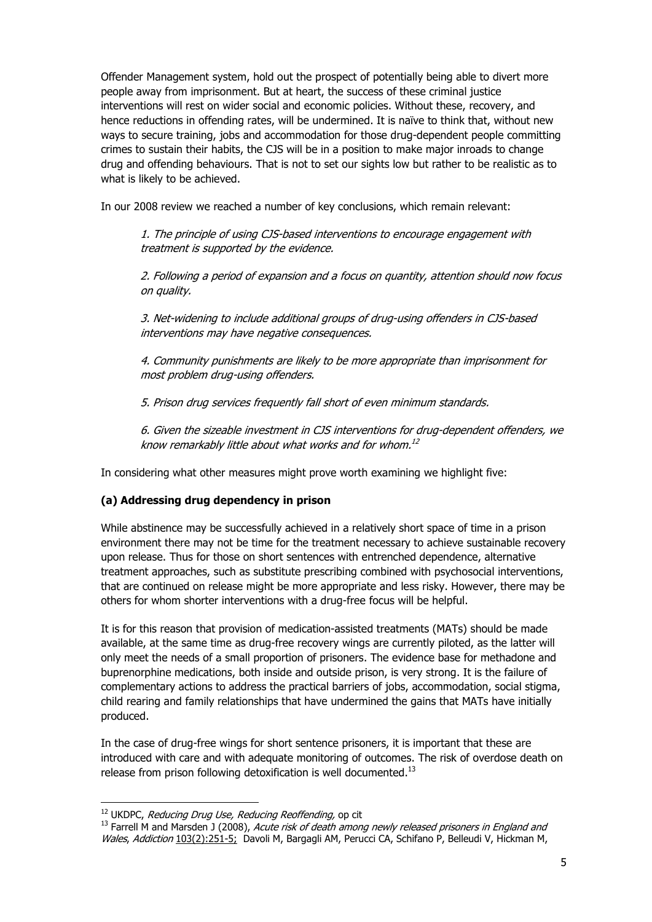Offender Management system, hold out the prospect of potentially being able to divert more people away from imprisonment. But at heart, the success of these criminal justice interventions will rest on wider social and economic policies. Without these, recovery, and hence reductions in offending rates, will be undermined. It is naïve to think that, without new ways to secure training, jobs and accommodation for those drug-dependent people committing crimes to sustain their habits, the CJS will be in a position to make major inroads to change drug and offending behaviours. That is not to set our sights low but rather to be realistic as to what is likely to be achieved.

In our 2008 review we reached a number of key conclusions, which remain relevant:

1. The principle of using CJS-based interventions to encourage engagement with treatment is supported by the evidence.

2. Following a period of expansion and a focus on quantity, attention should now focus on quality.

3. Net-widening to include additional groups of drug-using offenders in CJS-based interventions may have negative consequences.

4. Community punishments are likely to be more appropriate than imprisonment for most problem drug-using offenders.

5. Prison drug services frequently fall short of even minimum standards.

6. Given the sizeable investment in CJS interventions for drug-dependent offenders, we know remarkably little about what works and for whom. 12

In considering what other measures might prove worth examining we highlight five:

### **(a) Addressing drug dependency in prison**

While abstinence may be successfully achieved in a relatively short space of time in a prison environment there may not be time for the treatment necessary to achieve sustainable recovery upon release. Thus for those on short sentences with entrenched dependence, alternative treatment approaches, such as substitute prescribing combined with psychosocial interventions, that are continued on release might be more appropriate and less risky. However, there may be others for whom shorter interventions with a drug-free focus will be helpful.

It is for this reason that provision of medication-assisted treatments (MATs) should be made available, at the same time as drug-free recovery wings are currently piloted, as the latter will only meet the needs of a small proportion of prisoners. The evidence base for methadone and buprenorphine medications, both inside and outside prison, is very strong. It is the failure of complementary actions to address the practical barriers of jobs, accommodation, social stigma, child rearing and family relationships that have undermined the gains that MATs have initially produced.

In the case of drug-free wings for short sentence prisoners, it is important that these are introduced with care and with adequate monitoring of outcomes. The risk of overdose death on release from prison following detoxification is well documented. $^{13}$ 

-

<sup>&</sup>lt;sup>12</sup> UKDPC, *Reducing Drug Use, Reducing Reoffending*, op cit

<sup>&</sup>lt;sup>13</sup> Farrell M and Marsden J (2008), Acute risk of death among newly released prisoners in England and Wales, Addiction 103(2):251-5; Davoli M, Bargagli AM, Perucci CA, Schifano P, Belleudi V, Hickman M,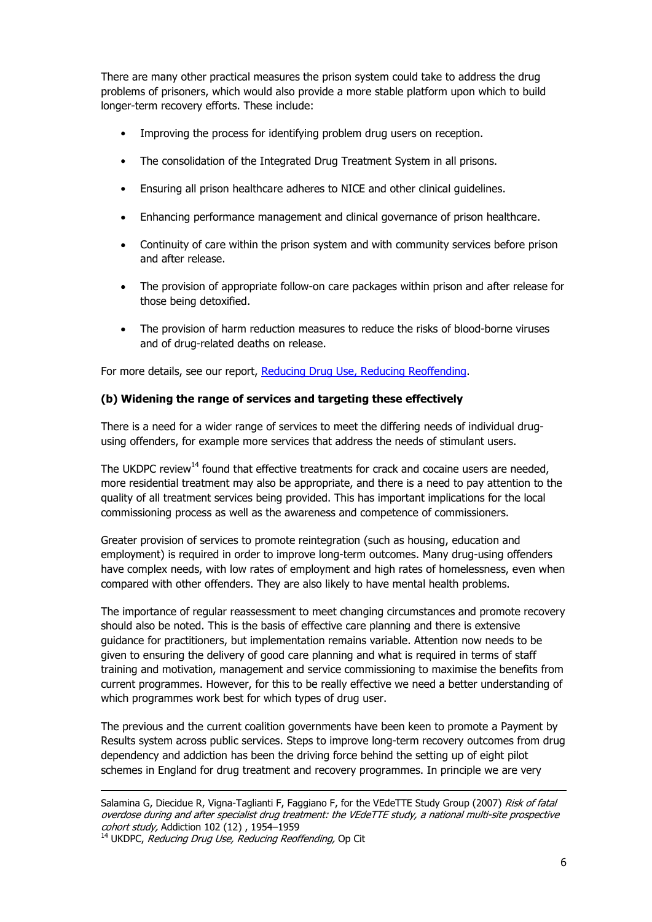There are many other practical measures the prison system could take to address the drug problems of prisoners, which would also provide a more stable platform upon which to build longer-term recovery efforts. These include:

- Improving the process for identifying problem drug users on reception.
- The consolidation of the Integrated Drug Treatment System in all prisons.
- Ensuring all prison healthcare adheres to NICE and other clinical guidelines.
- Enhancing performance management and clinical governance of prison healthcare.
- Continuity of care within the prison system and with community services before prison and after release.
- The provision of appropriate follow-on care packages within prison and after release for those being detoxified.
- The provision of harm reduction measures to reduce the risks of blood-borne viruses and of drug-related deaths on release.

For more details, see our report, Reducing Drug Use, Reducing Reoffending.

#### **(b) Widening the range of services and targeting these effectively**

There is a need for a wider range of services to meet the differing needs of individual drugusing offenders, for example more services that address the needs of stimulant users.

The UKDPC review<sup>14</sup> found that effective treatments for crack and cocaine users are needed, more residential treatment may also be appropriate, and there is a need to pay attention to the quality of all treatment services being provided. This has important implications for the local commissioning process as well as the awareness and competence of commissioners.

Greater provision of services to promote reintegration (such as housing, education and employment) is required in order to improve long-term outcomes. Many drug-using offenders have complex needs, with low rates of employment and high rates of homelessness, even when compared with other offenders. They are also likely to have mental health problems.

The importance of regular reassessment to meet changing circumstances and promote recovery should also be noted. This is the basis of effective care planning and there is extensive guidance for practitioners, but implementation remains variable. Attention now needs to be given to ensuring the delivery of good care planning and what is required in terms of staff training and motivation, management and service commissioning to maximise the benefits from current programmes. However, for this to be really effective we need a better understanding of which programmes work best for which types of drug user.

The previous and the current coalition governments have been keen to promote a Payment by Results system across public services. Steps to improve long-term recovery outcomes from drug dependency and addiction has been the driving force behind the setting up of eight pilot schemes in England for drug treatment and recovery programmes. In principle we are very

<sup>14</sup> UKDPC, Reducing Drug Use, Reducing Reoffending, Op Cit

<sup>-</sup>Salamina G, Diecidue R, Vigna-Taglianti F, Faggiano F, for the VEdeTTE Study Group (2007) Risk of fatal overdose during and after specialist drug treatment: the VEdeTTE study, a national multi-site prospective cohort study, Addiction 102 (12) , 1954–1959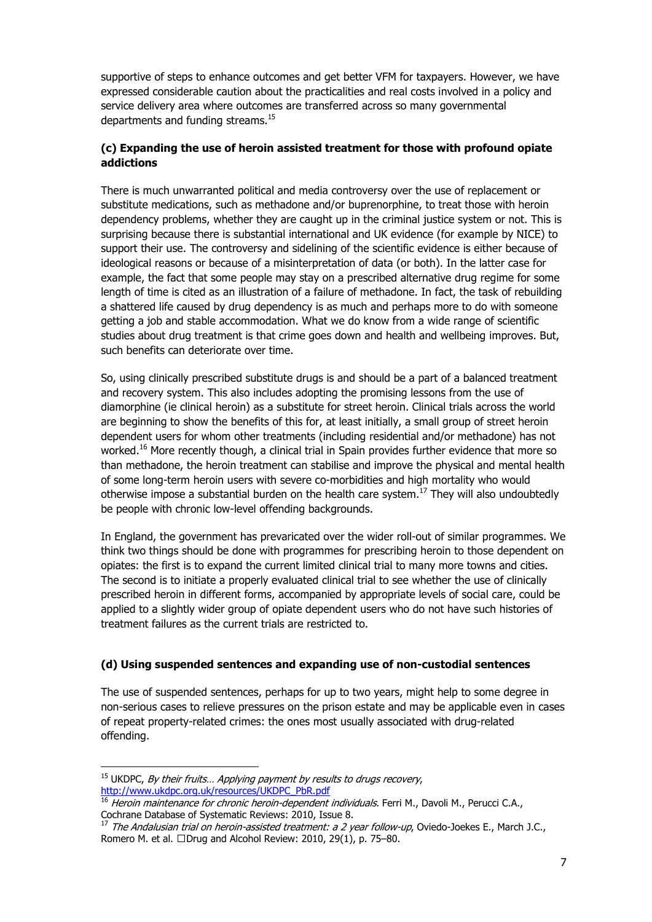supportive of steps to enhance outcomes and get better VFM for taxpayers. However, we have expressed considerable caution about the practicalities and real costs involved in a policy and service delivery area where outcomes are transferred across so many governmental departments and funding streams.<sup>15</sup>

### **(c) Expanding the use of heroin assisted treatment for those with profound opiate addictions**

There is much unwarranted political and media controversy over the use of replacement or substitute medications, such as methadone and/or buprenorphine, to treat those with heroin dependency problems, whether they are caught up in the criminal justice system or not. This is surprising because there is substantial international and UK evidence (for example by NICE) to support their use. The controversy and sidelining of the scientific evidence is either because of ideological reasons or because of a misinterpretation of data (or both). In the latter case for example, the fact that some people may stay on a prescribed alternative drug regime for some length of time is cited as an illustration of a failure of methadone. In fact, the task of rebuilding a shattered life caused by drug dependency is as much and perhaps more to do with someone getting a job and stable accommodation. What we do know from a wide range of scientific studies about drug treatment is that crime goes down and health and wellbeing improves. But, such benefits can deteriorate over time.

So, using clinically prescribed substitute drugs is and should be a part of a balanced treatment and recovery system. This also includes adopting the promising lessons from the use of diamorphine (ie clinical heroin) as a substitute for street heroin. Clinical trials across the world are beginning to show the benefits of this for, at least initially, a small group of street heroin dependent users for whom other treatments (including residential and/or methadone) has not worked.<sup>16</sup> More recently though, a clinical trial in Spain provides further evidence that more so than methadone, the heroin treatment can stabilise and improve the physical and mental health of some long-term heroin users with severe co-morbidities and high mortality who would otherwise impose a substantial burden on the health care system.<sup>17</sup> They will also undoubtedly be people with chronic low-level offending backgrounds.

In England, the government has prevaricated over the wider roll-out of similar programmes. We think two things should be done with programmes for prescribing heroin to those dependent on opiates: the first is to expand the current limited clinical trial to many more towns and cities. The second is to initiate a properly evaluated clinical trial to see whether the use of clinically prescribed heroin in different forms, accompanied by appropriate levels of social care, could be applied to a slightly wider group of opiate dependent users who do not have such histories of treatment failures as the current trials are restricted to.

### **(d) Using suspended sentences and expanding use of non-custodial sentences**

The use of suspended sentences, perhaps for up to two years, might help to some degree in non-serious cases to relieve pressures on the prison estate and may be applicable even in cases of repeat property-related crimes: the ones most usually associated with drug-related offending.

-

 $15$  UKDPC, By their fruits... Applying payment by results to drugs recovery, http://www.ukdpc.org.uk/resources/UKDPC\_PbR.pdf

<sup>16</sup> Heroin maintenance for chronic heroin-dependent individuals. Ferri M., Davoli M., Perucci C.A., Cochrane Database of Systematic Reviews: 2010, Issue 8.

 $17$  The Andalusian trial on heroin-assisted treatment: a 2 year follow-up, Oviedo-Joekes E., March J.C., Romero M. et al. P Drug and Alcohol Review: 2010, 29(1), p. 75–80.